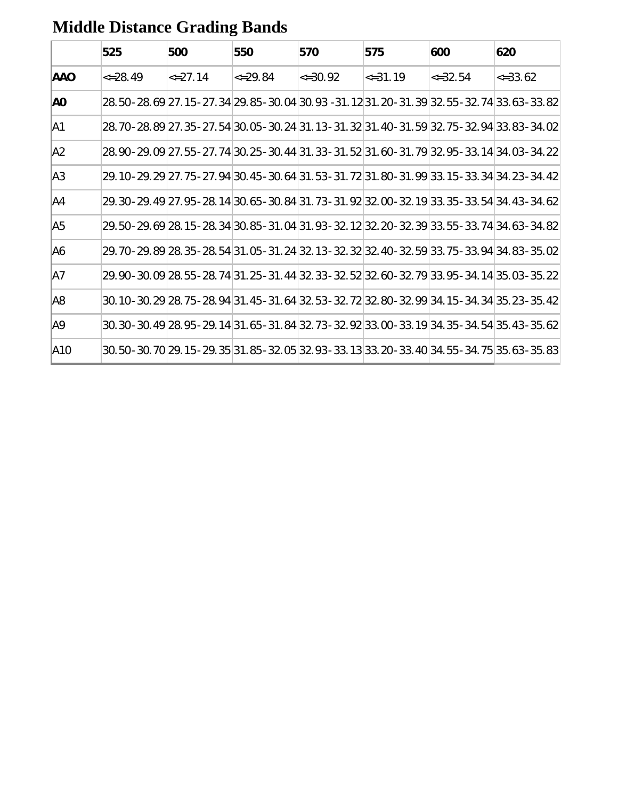|                | 525            | 500            | 550            | 570            | 575            | 600            | 620                                                                                               |
|----------------|----------------|----------------|----------------|----------------|----------------|----------------|---------------------------------------------------------------------------------------------------|
| <b>AAO</b>     | $\leq$ = 28.49 | $\leq$ = 27.14 | $\leq$ = 29.84 | $\leq$ = 30.92 | $\leq$ = 31.19 | $\leq$ = 32.54 | $\leq$ = 33.62                                                                                    |
| AO.            |                |                |                |                |                |                | 28.50 - 28.69 27.15 - 27.34 29.85 - 30.04 30.93 -31.12 31.20 - 31.39 32.55 - 32.74 33.63 - 33.82  |
| A1             |                |                |                |                |                |                | 28.70 - 28.89 27.35 - 27.54 30.05 - 30.24 31.13 - 31.32 31.40 - 31.59 32.75 - 32.94 33.83 - 34.02 |
| A <sub>2</sub> |                |                |                |                |                |                | 28.90 - 29.09 27.55 - 27.74 30.25 - 30.44 31.33 - 31.52 31.60 - 31.79 32.95 - 33.14 34.03 - 34.22 |
| A3             |                |                |                |                |                |                | 29.10-29.29 27.75-27.94 30.45-30.64 31.53-31.72 31.80-31.99 33.15-33.34 34.23-34.42               |
| A4             |                |                |                |                |                |                | 29.30-29.49 27.95-28.14 30.65-30.84 31.73-31.92 32.00-32.19 33.35-33.54 34.43-34.62               |
| A <sub>5</sub> |                |                |                |                |                |                | 29.50 - 29.69 28.15 - 28.34 30.85 - 31.04 31.93 - 32.12 32.20 - 32.39 33.55 - 33.74 34.63 - 34.82 |
| IA6            |                |                |                |                |                |                | 29.70-29.89 28.35-28.54 31.05-31.24 32.13-32.32 32.40-32.59 33.75-33.94 34.83-35.02               |
| A7             |                |                |                |                |                |                | 29.90 - 30.09 28.55 - 28.74 31.25 - 31.44 32.33 - 32.52 32.60 - 32.79 33.95 - 34.14 35.03 - 35.22 |
| A8             |                |                |                |                |                |                | 30.10 - 30.29 28.75 - 28.94 31.45 - 31.64 32.53 - 32.72 32.80 - 32.99 34.15 - 34.34 35.23 - 35.42 |
| A9             |                |                |                |                |                |                | 30.30 - 30.49 28.95 - 29.14 31.65 - 31.84 32.73 - 32.92 33.00 - 33.19 34.35 - 34.54 35.43 - 35.62 |
| <b>A10</b>     |                |                |                |                |                |                | 30.50 - 30.70 29.15 - 29.35 31.85 - 32.05 32.93 - 33.13 33.20 - 33.40 34.55 - 34.75 35.63 - 35.83 |

## **Middle Distance Grading Bands**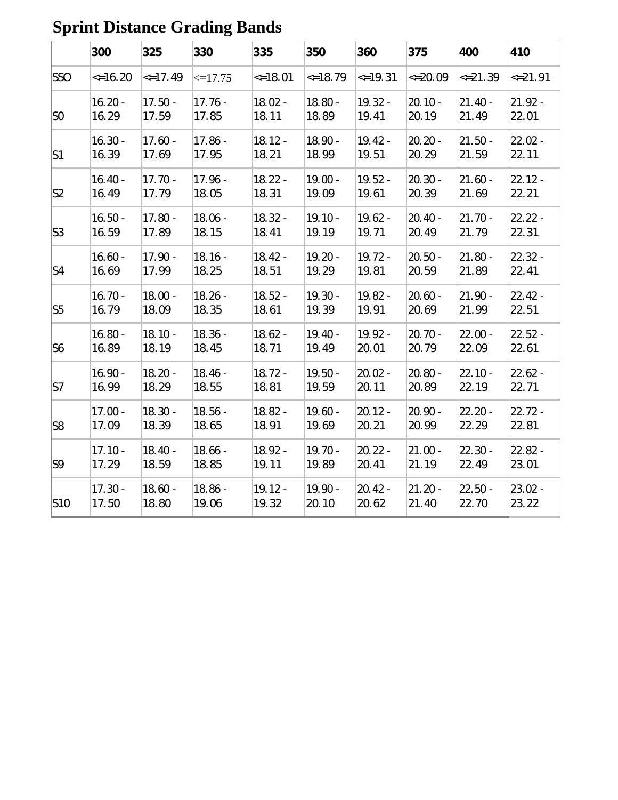|                | 300           | 325           | 330          | 335           | 350           | 360           | 375          | 400          | 410          |
|----------------|---------------|---------------|--------------|---------------|---------------|---------------|--------------|--------------|--------------|
| <b>SSO</b>     | $\leq$ =16.20 | $\leq$ =17.49 | $\leq$ 17.75 | $\leq$ =18.01 | $\leq$ =18.79 | $\le$ = 19.31 | $\leq 20.09$ | $\leq 21.39$ | $\leq$ 21.91 |
| S <sub>0</sub> | $16.20 -$     | $17.50 -$     | $17.76 -$    | $18.02 -$     | $18.80 -$     | $19.32 -$     | $20.10 -$    | $21.40 -$    | $21.92 -$    |
|                | 16.29         | 17.59         | 17.85        | 18.11         | 18.89         | 19.41         | 20.19        | 21.49        | 22.01        |
| S1             | $16.30 -$     | $17.60 -$     | $17.86 -$    | $18.12 -$     | $18.90 -$     | $19.42 -$     | $20.20 -$    | $21.50 -$    | $22.02 -$    |
|                | 16.39         | 17.69         | 17.95        | 18.21         | 18.99         | 19.51         | 20.29        | 21.59        | 22.11        |
| S2             | $16.40 -$     | $17.70 -$     | $17.96 -$    | $18.22 -$     | $19.00 -$     | $19.52 -$     | $20.30 -$    | $21.60 -$    | $22.12 -$    |
|                | 16.49         | 17.79         | 18.05        | 18.31         | 19.09         | 19.61         | 20.39        | 21.69        | 22.21        |
| S3             | $16.50 -$     | $17.80 -$     | $18.06 -$    | $18.32 -$     | $19.10 -$     | $19.62 -$     | $20.40 -$    | $21.70 -$    | $22.22 -$    |
|                | 16.59         | 17.89         | 18.15        | 18.41         | 19.19         | 19.71         | 20.49        | 21.79        | 22.31        |
| $\mathsf{S}4$  | $16.60 -$     | $17.90 -$     | $18.16 -$    | $18.42 -$     | $19.20 -$     | $19.72 -$     | $20.50 -$    | $21.80 -$    | $22.32 -$    |
|                | 16.69         | 17.99         | 18.25        | 18.51         | 19.29         | 19.81         | 20.59        | 21.89        | 22.41        |
| S5             | $16.70 -$     | $18.00 -$     | $18.26 -$    | $18.52 -$     | $19.30 -$     | 19.82 -       | $20.60 -$    | $21.90 -$    | $22.42 -$    |
|                | 16.79         | 18.09         | 18.35        | 18.61         | 19.39         | 19.91         | 20.69        | 21.99        | 22.51        |
| S <sub>6</sub> | $16.80 -$     | $18.10 -$     | $18.36 -$    | $18.62 -$     | $19.40 -$     | $19.92 -$     | $20.70 -$    | $22.00 -$    | $22.52 -$    |
|                | 16.89         | 18.19         | 18.45        | 18.71         | 19.49         | 20.01         | 20.79        | 22.09        | 22.61        |
| S7             | $16.90 -$     | $18.20 -$     | $18.46 -$    | $18.72 -$     | $19.50 -$     | $20.02 -$     | 20.80 -      | $22.10 -$    | $22.62 -$    |
|                | 16.99         | 18.29         | 18.55        | 18.81         | 19.59         | 20.11         | 20.89        | 22.19        | 22.71        |
| S8             | $17.00 -$     | $18.30 -$     | $18.56 -$    | $18.82 -$     | $19.60 -$     | $20.12 -$     | $20.90 -$    | $22.20 -$    | $22.72 -$    |
|                | 17.09         | 18.39         | 18.65        | 18.91         | 19.69         | 20.21         | 20.99        | 22.29        | 22.81        |
| S9             | $17.10 -$     | $18.40 -$     | $18.66 -$    | $18.92 -$     | $19.70 -$     | $20.22 -$     | $21.00 -$    | $22.30 -$    | $22.82 -$    |
|                | 17.29         | 18.59         | 18.85        | 19.11         | 19.89         | 20.41         | 21.19        | 22.49        | 23.01        |
| S10            | $17.30 -$     | $18.60 -$     | $18.86 -$    | $19.12 -$     | 19.90 -       | $20.42 -$     | $21.20 -$    | $22.50 -$    | $23.02 -$    |
|                | 17.50         | 18.80         | 19.06        | 19.32         | 20.10         | 20.62         | 21.40        | 22.70        | 23.22        |

## **Sprint Distance Grading Bands**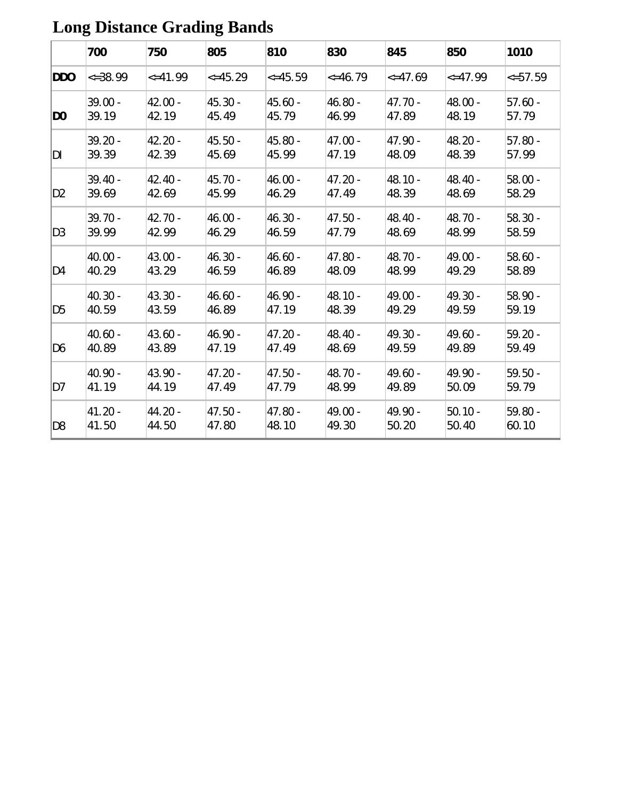|                | 700          | 750           | 805           | 810           | 830          | 845           | 850           | 1010         |
|----------------|--------------|---------------|---------------|---------------|--------------|---------------|---------------|--------------|
| <b>DDO</b>     | $\leq 38.99$ | $\leq$ =41.99 | $\leq$ =45.29 | $\leq$ =45.59 | $\leq 46.79$ | $\leq$ =47.69 | $\leq$ =47.99 | $\leq 57.59$ |
| D <sub>0</sub> | 39.00 -      | $42.00 -$     | 45.30 -       | 45.60 -       | 46.80 -      | $47.70 -$     | 48.00 -       | $57.60 -$    |
|                | 39.19        | 42.19         | 45.49         | 45.79         | 46.99        | 47.89         | 48.19         | 57.79        |
| DI             | $39.20 -$    | $42.20 -$     | 45.50 -       | 45.80 -       | $47.00 -$    | $47.90 -$     | 48.20 -       | $57.80 -$    |
|                | 39.39        | 42.39         | 45.69         | 45.99         | 47.19        | 48.09         | 48.39         | 57.99        |
| D <sub>2</sub> | 39.40 -      | 42.40 -       | 45.70 -       | 46.00 -       | $47.20 -$    | $48.10 -$     | 48.40 -       | $58.00 -$    |
|                | 39.69        | 42.69         | 45.99         | 46.29         | 47.49        | 48.39         | 48.69         | 58.29        |
| D <sub>3</sub> | $39.70 -$    | $42.70 -$     | $46.00 -$     | 46.30 -       | 47.50 -      | $48.40 -$     | 48.70 -       | $58.30 -$    |
|                | 39.99        | 42.99         | 46.29         | 46.59         | 47.79        | 48.69         | 48.99         | 58.59        |
| D4             | 40.00 -      | $43.00 -$     | $46.30 -$     | 46.60 -       | 47.80 -      | 48.70 -       | 49.00 -       | $58.60 -$    |
|                | 40.29        | 43.29         | 46.59         | 46.89         | 48.09        | 48.99         | 49.29         | 58.89        |
| D <sub>5</sub> | 40.30 -      | $43.30 -$     | $46.60 -$     | 46.90 -       | 48.10 -      | 49.00 -       | 49.30 -       | 58.90 -      |
|                | 40.59        | 43.59         | 46.89         | 47.19         | 48.39        | 49.29         | 49.59         | 59.19        |
| D <sub>6</sub> | $40.60 -$    | $43.60 -$     | 46.90 -       | 47.20 -       | 48.40 -      | $49.30 -$     | 49.60 -       | $59.20 -$    |
|                | 40.89        | 43.89         | 47.19         | 47.49         | 48.69        | 49.59         | 49.89         | 59.49        |
| D7             | 40.90 -      | 43.90 -       | $47.20 -$     | 47.50 -       | 48.70 -      | $49.60 -$     | 49.90 -       | $59.50 -$    |
|                | 41.19        | 44.19         | 47.49         | 47.79         | 48.99        | 49.89         | 50.09         | 59.79        |
| D <sub>8</sub> | 41.20 -      | 44.20 -       | 47.50 -       | 47.80 -       | 49.00 -      | 49.90 -       | $50.10 -$     | 59.80 -      |
|                | 41.50        | 44.50         | 47.80         | 48.10         | 49.30        | 50.20         | 50.40         | 60.10        |

#### **Long Distance Grading Bands**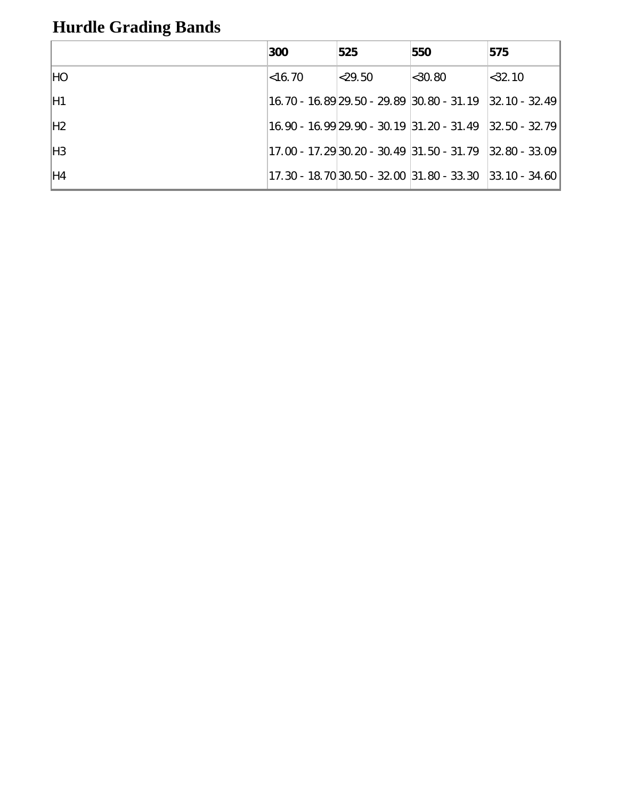## **Hurdle Grading Bands**

|                | 300        | 525        | 550                                                        | 575               |
|----------------|------------|------------|------------------------------------------------------------|-------------------|
| HO             | $ $ <16.70 | $ <$ 29.50 | $ $ <30.80                                                 | $ <$ 32.10        |
| H1             |            |            |                                                            | $ 32.10 - 32.49 $ |
| H <sub>2</sub> |            |            | $ 16.90 - 16.99 29.90 - 30.19 31.20 - 31.49 32.50 - 32.79$ |                   |
| H <sub>3</sub> |            |            | 17.00 - 17.29 30.20 - 30.49 31.50 - 31.79                  | $ 32.80 - 33.09 $ |
| H4             |            |            | $17.30 - 18.70$ 30.50 - 32.00 31.80 - 33.30 33.10 - 34.60  |                   |